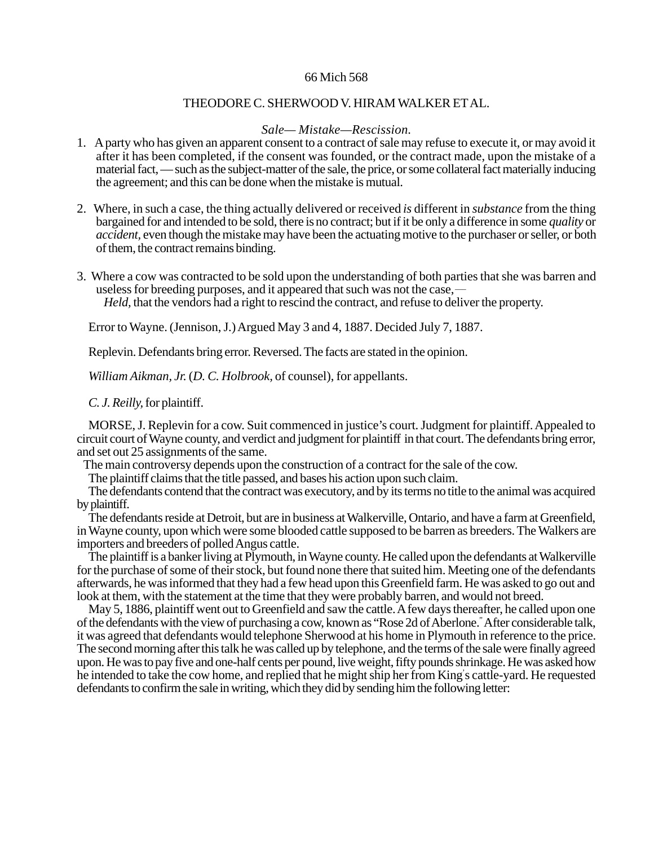## 66 Mich 568

# THEODORE C. SHERWOOD V. HIRAM WALKER ET AL.

## *Sale— Mistake—Rescission.*

- 1. A party who has given an apparent consent to a contract of sale may refuse to execute it, or may avoid it after it has been completed, if the consent was founded, or the contract made, upon the mistake of a material fact, — such as the subject-matter of the sale, the price, or some collateral fact materially inducing the agreement; and this can be done when the mistake is mutual.
- 2. Where, in such a case, the thing actually delivered or received *is* different in *substance* from the thing bargained for and intended to be sold, there is no contract; but if it be only a difference in some *quality* or *accident,* even though the mistake may have been the actuating motive to the purchaser or seller, or both of them, the contract remains binding.
- 3. Where a cow was contracted to be sold upon the understanding of both parties that she was barren and useless for breeding purposes, and it appeared that such was not the case, *Held,* that the vendors had a right to rescind the contract, and refuse to deliver the property.

Error to Wayne. (Jennison, J.) Argued May 3 and 4, 1887. Decided July 7, 1887.

Replevin. Defendants bring error. Reversed. The facts are stated in the opinion.

*William Aikman, Jr.* (*D. C. Holbrook,* of counsel), for appellants.

*C. J. Reilly,* for plaintiff.

MORSE, J. Replevin for a cow. Suit commenced in justice's court. Judgment for plaintiff. Appealed to circuit court of Wayne county, and verdict and judgment for plaintiff in that court. The defendants bring error, and set out 25 assignments of the same.

The main controversy depends upon the construction of a contract for the sale of the cow.

The plaintiff claims that the title passed, and bases his action upon such claim.

The defendants contend that the contract was executory, and by its terms no title to the animal was acquired by plaintiff.

The defendants reside at Detroit, but are in business at Walkerville, Ontario, and have a farm at Greenfield, in Wayne county, upon which were some blooded cattle supposed to be barren as breeders. The Walkers are importers and breeders of polled Angus cattle.

The plaintiff is a banker living at Plymouth, in Wayne county. He called upon the defendants at Walkerville for the purchase of some of their stock, but found none there that suited him. Meeting one of the defendants afterwards, he was informed that they had a few head upon this Greenfield farm. He was asked to go out and look at them, with the statement at the time that they were probably barren, and would not breed.

May 5, 1886, plaintiff went out to Greenfield and saw the cattle. A few days thereafter, he called upon one of the defendants with the view of purchasing a cow, known as "Rose 2d of Aberlone." After considerable talk, it was agreed that defendants would telephone Sherwood at his home in Plymouth in reference to the price. The second morning after this talk he was called up by telephone, and the terms of the sale were finally agreed upon. He was topay five and one-half cents per pound, live weight, fifty pounds shrinkage. He was asked how he intended to take the cow home, and replied that he might ship her from King' s cattle-yard. He requested defendants to confirm the sale in writing, which they did by sending him the following letter: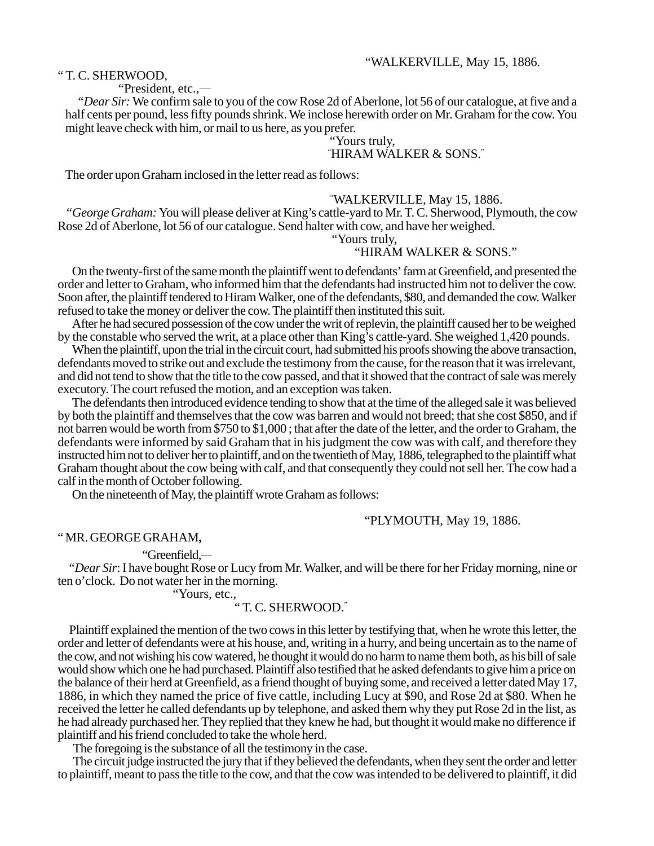"WALKERVILLE, May 15, 1886.

" T. C. SHERWOOD,

"President, etc.,-

*"Dear Sir:* We confirm sale to you of the cow Rose 2d of Aberlone, lot 56 of our catalogue, at five and a half cents per pound, less fifty pounds shrink. We inclose herewith order on Mr. Graham for the cow. You might leave check with him, or mail to us here, as you prefer.

# "Yours truly,

# "HIRAM WALKER & SONS."

The order upon Graham inclosed in the letter read as follows:

### "WALKERVILLE, May 15, 1886.

*"George Graham:* You will please deliver at King's cattle-yard to Mr. T. C. Sherwood, Plymouth, the cow Rose 2d of Aberlone, lot 56 of our catalogue. Send halter with cow, and have her weighed.

"Yours truly,

# "HIRAM WALKER & SONS."

On the twenty-first of the same month the plaintiff went to defendants' farm at Greenfield, and presented the order and letter to Graham, who informed him that the defendants had instructed him not to deliver the cow. Soon after, the plaintiff tendered to Hiram Walker, one of the defendants, \$80, and demanded the cow. Walker refused to take the money or deliver the cow. The plaintiff then instituted this suit.

After he had secured possession of the cow under the writ of replevin, the plaintiff caused her to be weighed by the constable who served the writ, at a place other than King's cattle-yard. She weighed 1,420 pounds.

When the plaintiff, upon the trial in the circuit court, had submitted his proofs showing the above transaction, defendants moved to strike out and exclude the testimony from the cause, for the reason that it was irrelevant, and did not tend to show that the title to the cow passed, and that it showed that the contract of sale was merely executory. The court refused the motion, and an exception was taken.

The defendants then introduced evidence tending to show that at the time of the alleged sale it was believed by both the plaintiff and themselves that the cow was barren and would not breed; that she cost \$850, and if not barren would be worth from \$750 to \$1,000 ; that after the date of the letter, and the order to Graham, the defendants were informed by said Graham that in his judgment the cow was with calf, and therefore they instructed him not to deliver her to plaintiff, and on the twentieth of May, 1886, telegraphed to the plaintiff what Graham thought about the cow being with calf, and that consequently they could not sell her. The cow had a calf in the month of October following.

On the nineteenth of May, the plaintiff wrote Graham as follows:

### "PLYMOUTH, May 19, 1886.

" MR. GEORGE GRAHAM**,**

"Greenfield.—

"*Dear Sir*:I have bought Rose or Lucy from Mr. Walker, and will be there for her Friday morning, nine or ten o'clock. Do not water her in the morning.

"Yours, etc.,

# " T. C. SHERWOOD."

Plaintiff explained the mention of the two cows in this letter by testifying that, when he wrote this letter, the order and letter of defendants were at his house, and, writing in a hurry, and being uncertain as to the name of the cow, and not wishing his cow watered, he thought it would do no harm to name them both, as his bill of sale would show which one he had purchased. Plaintiff also testified that he asked defendants to give him a price on the balance of their herd at Greenfield, as a friend thought of buying some, and received a letter dated May 17, 1886, in which they named the price of five cattle, including Lucy at \$90, and Rose 2d at \$80. When he received the letter he called defendants up by telephone, and asked them why they put Rose 2d in the list, as he had already purchased her. They replied that they knew he had, but thought it would make no difference if plaintiff and his friend concluded to take the whole herd.

The foregoing is the substance of all the testimony in the case.

The circuit judge instructed the jury that if they believed the defendants, when they sent the order and letter to plaintiff, meant to pass the title to the cow, and that the cow was intended to be delivered to plaintiff, it did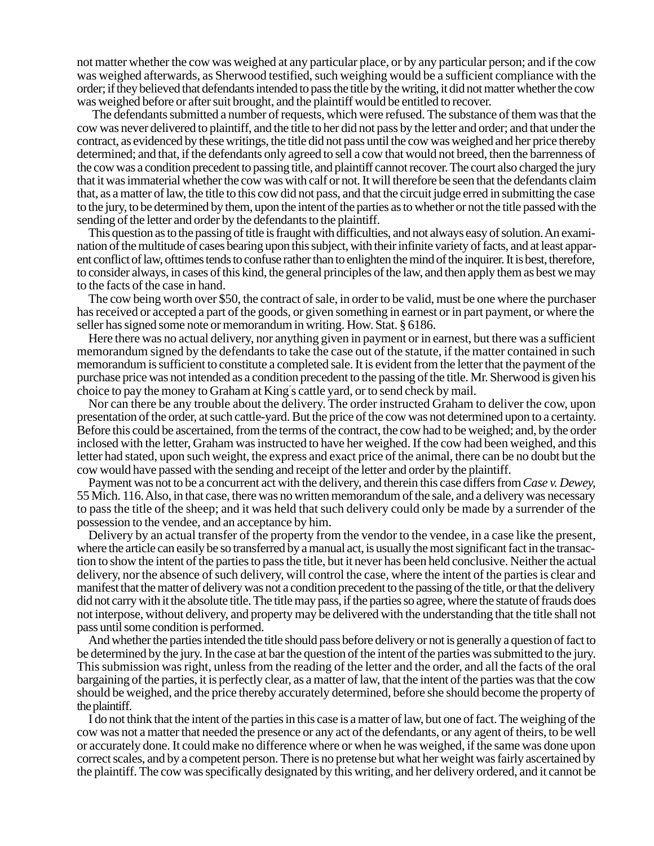not matter whether the cow was weighed at any particular place, or by any particular person; and if the cow was weighed afterwards, as Sherwood testified, such weighing would be a sufficient compliance with the order; if they believed that defendants intended to pass the title by the writing, it did not matter whether the cow was weighed before or after suit brought, and the plaintiff would be entitled to recover.

The defendants submitted a number of requests, which were refused. The substance of them was that the cow was never delivered to plaintiff, and the title to her did not pass by the letter and order; and that under the contract, as evidenced by these writings, the title did not pass until the cow was weighed and her price thereby determined; and that, if the defendants only agreed to sell a cow that would not breed, then the barrenness of the cow was a condition precedent to passing title, and plaintiff cannot recover. The court also charged the jury that it was immaterial whether the cow was with calf or not. It will therefore be seen that the defendants claim that, as a matter of law, the title to this cow did not pass, and that the circuit judge erred in submitting the case to the jury, to be determined by them, upon the intent of the parties as to whether or not the title passed with the sending of the letter and order by the defendants to the plaintiff.

This question as to the passing of title is fraught with difficulties, and not always easy of solution. An examination of the multitude of cases bearing upon this subject, with their infinite variety of facts, and at least apparent conflict of law, ofttimes tends to confuse rather than to enlighten the mind of the inquirer. It is best, therefore, to consider always, in cases of this kind, the general principles of the law, and then apply them as best we may to the facts of the case in hand.

The cow being worth over \$50, the contract of sale, in order to be valid, must be one where the purchaser has received or accepted a part of the goods, or given something in earnest or in part payment, or where the seller has signed some note or memorandum in writing. How. Stat. § 6186.

Here there was no actual delivery, nor anything given in payment or in earnest, but there was a sufficient memorandum signed by the defendants to take the case out of the statute, if the matter contained in such memorandum is sufficient to constitute a completed sale. It is evident from the letter that the payment of the purchase price was not intended as a condition precedent to the passing of the title. Mr. Sherwood is given his choice to pay the money to Graham at King' s cattle yard, or to send check by mail.

Nor can there be any trouble about the delivery. The order instructed Graham to deliver the cow, upon presentation of the order, at such cattle-yard. But the price of the cow was not determined upon to a certainty. Before this could be ascertained, from the terms of the contract, the cow had to be weighed; and, by the order inclosed with the letter, Graham was instructed to have her weighed. If the cow had been weighed, and this letter had stated, upon such weight, the express and exact price of the animal, there can be no doubt but the cow would have passed with the sending and receipt of the letter and order by the plaintiff.

Payment was not to be a concurrent act with the delivery, and therein this case differs from *Case v. Dewey,* 55 Mich. 116. Also, in that case, there was no written memorandum of the sale, and a delivery was necessary to pass the title of the sheep; and it was held that such delivery could only be made by a surrender of the possession to the vendee, and an acceptance by him.

Delivery by an actual transfer of the property from the vendor to the vendee, in a case like the present, where the article can easily be so transferred by a manual act, is usually the most significant fact in the transaction to show the intent of the parties to pass the title, but it never has been held conclusive. Neither the actual delivery, nor the absence of such delivery, will control the case, where the intent of the parties is clear and manifest that the matter of delivery was not a condition precedent to the passing of the title, or that the delivery did not carry with it the absolute title. The title may pass, if the parties so agree, where the statute of frauds does not interpose, without delivery, and property may be delivered with the understanding that the title shall not pass until some condition is performed.

And whether the parties intended the title should pass before delivery or not is generally a question of fact to be determined by the jury. In the case at bar the question of the intent of the parties was submitted to the jury. This submission was right, unless from the reading of the letter and the order, and all the facts of the oral bargaining of the parties, it is perfectly clear, as a matter of law, that the intent of the parties was that the cow should be weighed, and the price thereby accurately determined, before she should become the property of the plaintiff.

I do not think that the intent of the parties in this case is a matter of law, but one of fact. The weighing of the cow was not a matter that needed the presence or any act of the defendants, or any agent of theirs, to be well or accurately done. It could make no difference where or when he was weighed, if the same was done upon correct scales, and by a competent person. There is no pretense but what her weight was fairly ascertained by the plaintiff. The cow was specifically designated by this writing, and her delivery ordered, and it cannot be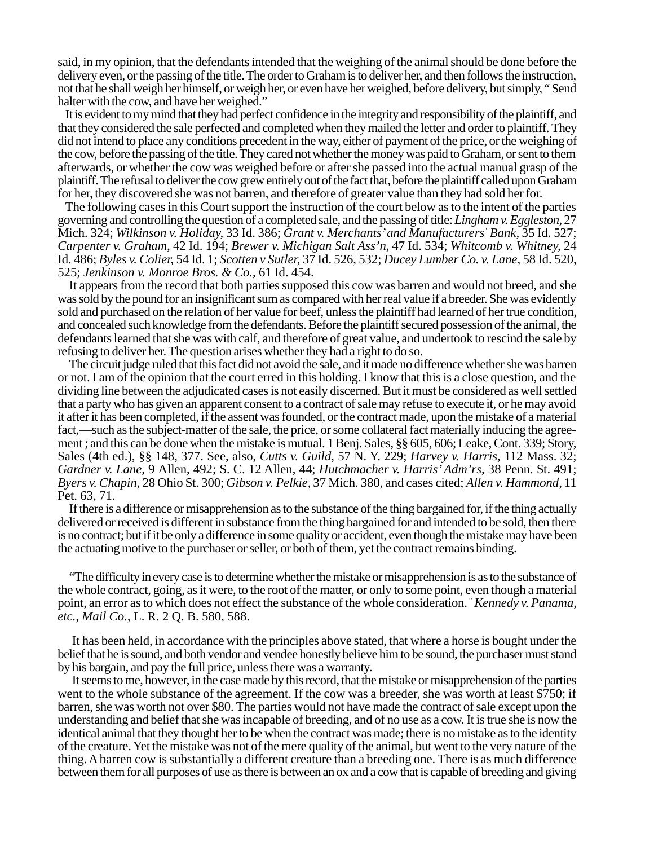said, in my opinion, that the defendants intended that the weighing of the animal should be done before the delivery even, or the passing of the title. The order to Graham is to deliver her, and then follows the instruction, not that he shall weigh her himself, or weigh her, or even have her weighed, before delivery, but simply, " Send halter with the cow, and have her weighed."

It is evident to my mind that they had perfect confidence in the integrity and responsibility of the plaintiff, and that they considered the sale perfected and completed when they mailed the letter and order to plaintiff. They did not intend to place any conditions precedent in the way, either of payment of the price, or the weighing of the cow, before the passing of the title. They cared not whether the money was paid to Graham, or sent to them afterwards, or whether the cow was weighed before or after she passed into the actual manual grasp of the plaintiff. The refusal to deliver the cow grew entirely out of the fact that, before the plaintiff called upon Graham for her, they discovered she was not barren, and therefore of greater value than they had sold her for.

The following cases in this Court support the instruction of the court below as to the intent of the parties governing and controlling the question of a completed sale, and the passing of title: *Lingham v. Eggleston,* 27 Mich. 324; *Wilkinson v. Holiday,* 33 Id. 386; *Grant v. Merchants' and Manufacturers' Bank,* 35 Id. 527; *Carpenter v. Graham,* 42 Id. 194; *Brewer v. Michigan Salt Ass'n,* 47 Id. 534; *Whitcomb v. Whitney,* 24 Id. 486; *Byles v. Colier,* 54 Id. 1; *Scotten v Sutler,* 37 Id. 526, 532; *Ducey Lumber Co. v. Lane,* 58 Id. 520, 525; *Jenkinson v. Monroe Bros. & Co.,* 61 Id. 454.

It appears from the record that both parties supposed this cow was barren and would not breed, and she was sold by the pound for an insignificant sum as compared with her real value if a breeder. She was evidently sold and purchased on the relation of her value for beef, unless the plaintiff had learned of her true condition, and concealed such knowledge from the defendants. Before the plaintiff secured possession of the animal, the defendants learned that she was with calf, and therefore of great value, and undertook to rescind the sale by refusing to deliver her. The question arises whether they had a right to do so.

The circuit judge ruled that this fact did not avoid the sale, and it made no difference whether she was barren or not. I am of the opinion that the court erred in this holding. I know that this is a close question, and the dividing line between the adjudicated cases is not easily discerned. But it must be considered as well settled that a party who has given an apparent consent to a contract of sale may refuse to execute it, or he may avoid it after it has been completed, if the assent was founded, or the contract made, upon the mistake of a material fact,—such as the subject-matter of the sale, the price, or some collateral fact materially inducing the agreement ; and this can be done when the mistake is mutual. 1 Benj. Sales, §§ 605, 606; Leake, Cont. 339; Story, Sales (4th ed.), §§ 148, 377. See, also, *Cutts v. Guild,* 57 N. Y. 229; *Harvey v. Harris,* 112 Mass. 32; *Gardner v. Lane,* 9 Allen, 492; S. C. 12 Allen, 44; *Hutchmacher v. Harris' Adm'rs,* 38 Penn. St. 491; *Byers v. Chapin,* 28 Ohio St. 300; *Gibson v. Pelkie,* 37 Mich. 380, and cases cited; *Allen v. Hammond,* 11 Pet. 63, 71.

If there is a difference or misapprehension as to the substance of the thing bargained for, if the thing actually delivered or received is different in substance from the thing bargained for and intended to be sold, then there is no contract; but if it be only a difference in some quality or accident, even though the mistake may have been the actuating motive to the purchaser or seller, or both of them, yet the contract remains binding.

"The difficulty in every case is to determine whether the mistake or misapprehension is as to the substance of the whole contract, going, as it were, to the root of the matter, or only to some point, even though a material point, an error as to which does not effect the substance of the whole consideration.*" Kennedy v. Panama, etc., Mail Co.,* L. R. 2 Q. B. 580, 588.

It has been held, in accordance with the principles above stated, that where a horse is bought under the belief that he is sound, and both vendor and vendee honestly believe him to be sound, the purchaser must stand by his bargain, and pay the full price, unless there was a warranty.

It seems to me, however, in the case made by this record, that the mistake or misapprehension of the parties went to the whole substance of the agreement. If the cow was a breeder, she was worth at least \$750; if barren, she was worth not over \$80. The parties would not have made the contract of sale except upon the understanding and belief that she was incapable of breeding, and of no use as a cow. It is true she is now the identical animal that they thought her to be when the contract was made; there is no mistake as to the identity of the creature. Yet the mistake was not of the mere quality of the animal, but went to the very nature of the thing. A barren cow is substantially a different creature than a breeding one. There is as much difference between them for all purposes of use as there is between an ox and a cow that is capable of breeding and giving